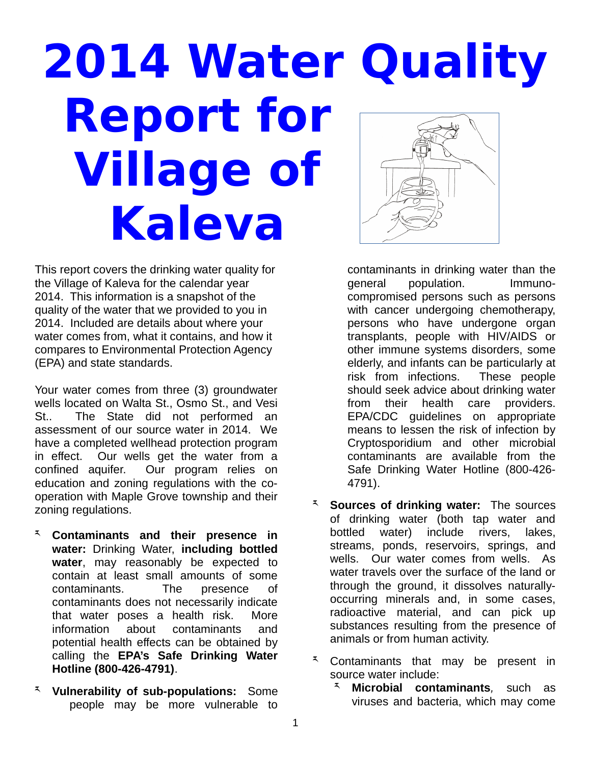## **2014 Water Quality Report for Village of Kaleva**

This report covers the drinking water quality for the Village of Kaleva for the calendar year 2014. This information is a snapshot of the quality of the water that we provided to you in 2014. Included are details about where your water comes from, what it contains, and how it compares to Environmental Protection Agency (EPA) and state standards.

Your water comes from three (3) groundwater wells located on Walta St., Osmo St., and Vesi St.. The State did not performed an assessment of our source water in 2014. We have a completed wellhead protection program in effect. Our wells get the water from a confined aquifer. Our program relies on education and zoning regulations with the cooperation with Maple Grove township and their zoning regulations.

- ར **Contaminants and their presence in water:** Drinking Water, **including bottled water**, may reasonably be expected to contain at least small amounts of some contaminants. The presence of contaminants does not necessarily indicate that water poses a health risk. More information about contaminants and potential health effects can be obtained by calling the **EPA's Safe Drinking Water Hotline (800-426-4791)**.
- ར **Vulnerability of sub-populations:** Some people may be more vulnerable to

contaminants in drinking water than the general population. Immunocompromised persons such as persons with cancer undergoing chemotherapy, persons who have undergone organ transplants, people with HIV/AIDS or other immune systems disorders, some elderly, and infants can be particularly at risk from infections. These people should seek advice about drinking water from their health care providers. EPA/CDC guidelines on appropriate means to lessen the risk of infection by Cryptosporidium and other microbial contaminants are available from the Safe Drinking Water Hotline (800-426- 4791).

- ར **Sources of drinking water:** The sources of drinking water (both tap water and bottled water) include rivers, lakes, streams, ponds, reservoirs, springs, and wells. Our water comes from wells. As water travels over the surface of the land or through the ground, it dissolves naturallyoccurring minerals and, in some cases, radioactive material, and can pick up substances resulting from the presence of animals or from human activity.
- $\bar{f}$  Contaminants that may be present in source water include:
	- **Microbial contaminants**, such as viruses and bacteria, which may come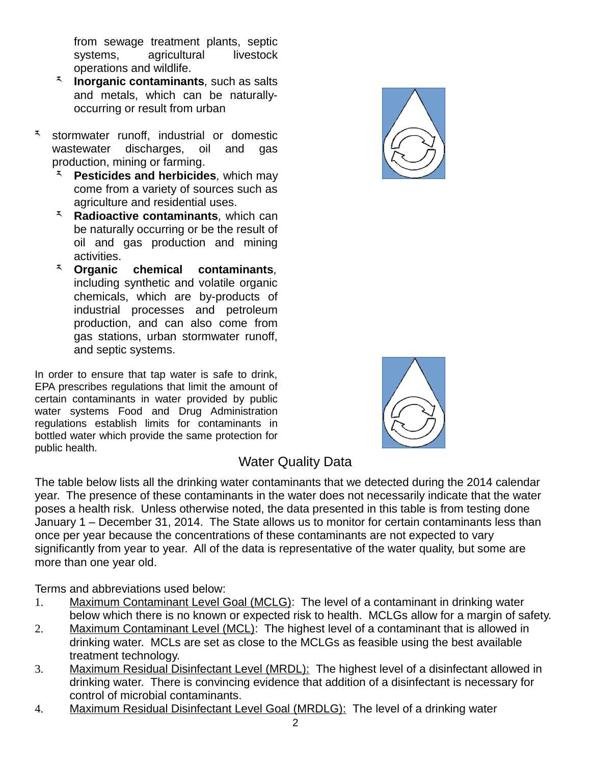from sewage treatment plants, septic<br>systems, aaricultural livestock systems, agricultural operations and wildlife.

- ར **Inorganic contaminants***,* such as salts and metals, which can be naturallyoccurring or result from urban
- ར stormwater runoff, industrial or domestic wastewater discharges, oil and gas production, mining or farming.
	- ར **Pesticides and herbicides***,* which may come from a variety of sources such as agriculture and residential uses.
	- ར **Radioactive contaminants***,* which can be naturally occurring or be the result of oil and gas production and mining activities.
	- ར **Organic chemical contaminants***,* including synthetic and volatile organic chemicals, which are by-products of industrial processes and petroleum production, and can also come from gas stations, urban stormwater runoff, and septic systems.

In order to ensure that tap water is safe to drink, EPA prescribes regulations that limit the amount of certain contaminants in water provided by public water systems Food and Drug Administration regulations establish limits for contaminants in bottled water which provide the same protection for public health.





## Water Quality Data

The table below lists all the drinking water contaminants that we detected during the 2014 calendar year. The presence of these contaminants in the water does not necessarily indicate that the water poses a health risk. Unless otherwise noted, the data presented in this table is from testing done January 1 – December 31, 2014. The State allows us to monitor for certain contaminants less than once per year because the concentrations of these contaminants are not expected to vary significantly from year to year. All of the data is representative of the water quality, but some are more than one year old.

Terms and abbreviations used below:

- 1. Maximum Contaminant Level Goal (MCLG): The level of a contaminant in drinking water below which there is no known or expected risk to health. MCLGs allow for a margin of safety.
- 2. Maximum Contaminant Level (MCL): The highest level of a contaminant that is allowed in drinking water. MCLs are set as close to the MCLGs as feasible using the best available treatment technology.
- 3. Maximum Residual Disinfectant Level (MRDL): The highest level of a disinfectant allowed in drinking water. There is convincing evidence that addition of a disinfectant is necessary for control of microbial contaminants.
- 4. Maximum Residual Disinfectant Level Goal (MRDLG): The level of a drinking water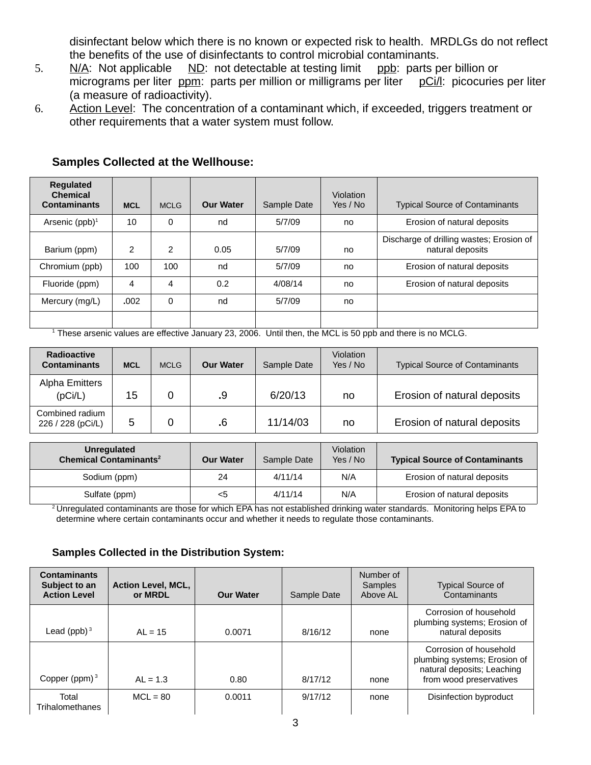disinfectant below which there is no known or expected risk to health. MRDLGs do not reflect the benefits of the use of disinfectants to control microbial contaminants.

- 5.  $N/A$ : Not applicable  $ND$ : not detectable at testing limit ppb: parts per billion or micrograms per liter ppm: parts per million or milligrams per liter pCi/l: picocuries per liter (a measure of radioactivity).
- 6. Action Level: The concentration of a contaminant which, if exceeded, triggers treatment or other requirements that a water system must follow.

| <b>Requlated</b><br><b>Chemical</b><br><b>Contaminants</b> | <b>MCL</b>    | <b>MCLG</b>    | <b>Our Water</b> | Sample Date | Violation<br>Yes / No | <b>Typical Source of Contaminants</b>                        |
|------------------------------------------------------------|---------------|----------------|------------------|-------------|-----------------------|--------------------------------------------------------------|
| Arsenic $(ppb)^1$                                          | 10            | 0              | nd               | 5/7/09      | no                    | Erosion of natural deposits                                  |
| Barium (ppm)                                               | $\mathcal{P}$ | $\mathfrak{p}$ | 0.05             | 5/7/09      | no                    | Discharge of drilling wastes; Erosion of<br>natural deposits |
| Chromium (ppb)                                             | 100           | 100            | nd               | 5/7/09      | no                    | Erosion of natural deposits                                  |
| Fluoride (ppm)                                             | 4             | 4              | 0.2              | 4/08/14     | no                    | Erosion of natural deposits                                  |
| Mercury (mg/L)                                             | .002          | 0              | nd               | 5/7/09      | no                    |                                                              |
|                                                            |               |                |                  |             |                       |                                                              |

## **Samples Collected at the Wellhouse:**

<sup>1</sup> These arsenic values are effective January 23, 2006. Until then, the MCL is 50 ppb and there is no MCLG.

| Radioactive<br><b>Contaminants</b>   | <b>MCL</b> | <b>MCLG</b> | <b>Our Water</b> | Sample Date | <b>Violation</b><br>Yes / No | <b>Typical Source of Contaminants</b> |
|--------------------------------------|------------|-------------|------------------|-------------|------------------------------|---------------------------------------|
| Alpha Emitters<br>(pCi/L)            | 15         |             | .9               | 6/20/13     | no                           | Erosion of natural deposits           |
| Combined radium<br>226 / 228 (pCi/L) | 5          |             | .6               | 11/14/03    | no                           | Erosion of natural deposits           |

| <b>Unregulated</b><br><b>Chemical Contaminants<sup>2</sup></b> | <b>Our Water</b> | Sample Date | <b>Violation</b><br>Yes / No | <b>Typical Source of Contaminants</b> |
|----------------------------------------------------------------|------------------|-------------|------------------------------|---------------------------------------|
| Sodium (ppm)                                                   | 24               | 4/11/14     | N/A                          | Erosion of natural deposits           |
| Sulfate (ppm)                                                  | $<$ 5            | 4/11/14     | N/A                          | Erosion of natural deposits           |

 $^2$ Unregulated contaminants are those for which EPA has not established drinking water standards. Monitoring helps EPA to determine where certain contaminants occur and whether it needs to regulate those contaminants.

## **Samples Collected in the Distribution System:**

| <b>Contaminants</b><br>Subject to an<br><b>Action Level</b> | <b>Action Level, MCL,</b><br>or MRDL | <b>Our Water</b> | Sample Date | Number of<br><b>Samples</b><br>Above AL | <b>Typical Source of</b><br>Contaminants                                                                        |
|-------------------------------------------------------------|--------------------------------------|------------------|-------------|-----------------------------------------|-----------------------------------------------------------------------------------------------------------------|
| Lead (ppb) $3$                                              | $AL = 15$                            | 0.0071           | 8/16/12     | none                                    | Corrosion of household<br>plumbing systems; Erosion of<br>natural deposits                                      |
| Copper (ppm) $3$                                            | $AL = 1.3$                           | 0.80             | 8/17/12     | none                                    | Corrosion of household<br>plumbing systems; Erosion of<br>natural deposits; Leaching<br>from wood preservatives |
| Total<br>Trihalomethanes                                    | $MCL = 80$                           | 0.0011           | 9/17/12     | none                                    | Disinfection byproduct                                                                                          |